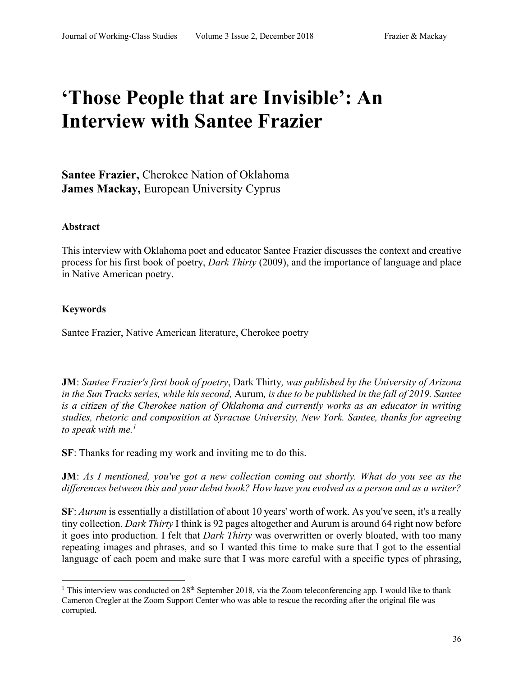# **'Those People that are Invisible': An Interview with Santee Frazier**

**Santee Frazier,** Cherokee Nation of Oklahoma **James Mackay,** European University Cyprus

#### **Abstract**

This interview with Oklahoma poet and educator Santee Frazier discusses the context and creative process for his first book of poetry, *Dark Thirty* (2009), and the importance of language and place in Native American poetry.

#### **Keywords**

Santee Frazier, Native American literature, Cherokee poetry

**JM**: *Santee Frazier's first book of poetry*, Dark Thirty*, was published by the University of Arizona in the Sun Tracks series, while his second,* Aurum*, is due to be published in the fall of 2019. Santee is a citizen of the Cherokee nation of Oklahoma and currently works as an educator in writing studies, rhetoric and composition at Syracuse University, New York. Santee, thanks for agreeing to speak with me. 1*

**SF**: Thanks for reading my work and inviting me to do this.

**JM**: *As I mentioned, you've got a new collection coming out shortly. What do you see as the differences between this and your debut book? How have you evolved as a person and as a writer?*

**SF**: *Aurum* is essentially a distillation of about 10 years' worth of work. As you've seen, it's a really tiny collection. *Dark Thirty* I think is 92 pages altogether and Aurum is around 64 right now before it goes into production. I felt that *Dark Thirty* was overwritten or overly bloated, with too many repeating images and phrases, and so I wanted this time to make sure that I got to the essential language of each poem and make sure that I was more careful with a specific types of phrasing,

<sup>&</sup>lt;sup>1</sup> This interview was conducted on  $28<sup>th</sup>$  September 2018, via the Zoom teleconferencing app. I would like to thank Cameron Cregler at the Zoom Support Center who was able to rescue the recording after the original file was corrupted.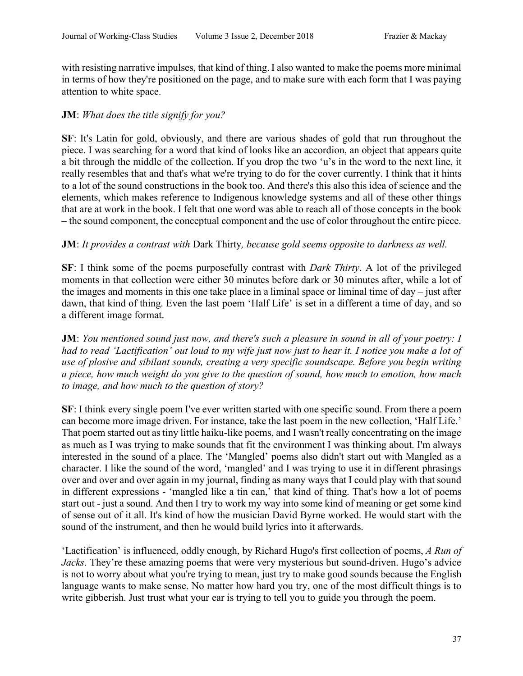with resisting narrative impulses, that kind of thing. I also wanted to make the poems more minimal in terms of how they're positioned on the page, and to make sure with each form that I was paying attention to white space.

# **JM**: *What does the title signify for you?*

**SF**: It's Latin for gold, obviously, and there are various shades of gold that run throughout the piece. I was searching for a word that kind of looks like an accordion, an object that appears quite a bit through the middle of the collection. If you drop the two 'u's in the word to the next line, it really resembles that and that's what we're trying to do for the cover currently. I think that it hints to a lot of the sound constructions in the book too. And there's this also this idea of science and the elements, which makes reference to Indigenous knowledge systems and all of these other things that are at work in the book. I felt that one word was able to reach all of those concepts in the book – the sound component, the conceptual component and the use of color throughout the entire piece.

#### **JM**: *It provides a contrast with* Dark Thirty*, because gold seems opposite to darkness as well.*

**SF**: I think some of the poems purposefully contrast with *Dark Thirty*. A lot of the privileged moments in that collection were either 30 minutes before dark or 30 minutes after, while a lot of the images and moments in this one take place in a liminal space or liminal time of day – just after dawn, that kind of thing. Even the last poem 'Half Life' is set in a different a time of day, and so a different image format.

**JM**: *You mentioned sound just now, and there's such a pleasure in sound in all of your poetry: I had to read 'Lactification' out loud to my wife just now just to hear it. I notice you make a lot of use of plosive and sibilant sounds, creating a very specific soundscape. Before you begin writing a piece, how much weight do you give to the question of sound, how much to emotion, how much to image, and how much to the question of story?*

**SF**: I think every single poem I've ever written started with one specific sound. From there a poem can become more image driven. For instance, take the last poem in the new collection, 'Half Life.' That poem started out as tiny little haiku-like poems, and I wasn't really concentrating on the image as much as I was trying to make sounds that fit the environment I was thinking about. I'm always interested in the sound of a place. The 'Mangled' poems also didn't start out with Mangled as a character. I like the sound of the word, 'mangled' and I was trying to use it in different phrasings over and over and over again in my journal, finding as many ways that I could play with that sound in different expressions - 'mangled like a tin can,' that kind of thing. That's how a lot of poems start out - just a sound. And then I try to work my way into some kind of meaning or get some kind of sense out of it all. It's kind of how the musician David Byrne worked. He would start with the sound of the instrument, and then he would build lyrics into it afterwards.

'Lactification' is influenced, oddly enough, by Richard Hugo's first collection of poems, *A Run of Jacks*. They're these amazing poems that were very mysterious but sound-driven. Hugo's advice is not to worry about what you're trying to mean, just try to make good sounds because the English language wants to make sense. No matter how hard you try, one of the most difficult things is to write gibberish. Just trust what your ear is trying to tell you to guide you through the poem.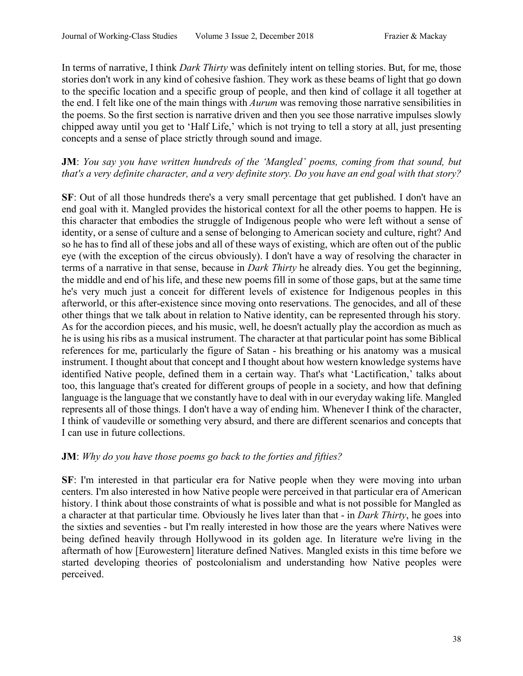In terms of narrative, I think *Dark Thirty* was definitely intent on telling stories. But, for me, those stories don't work in any kind of cohesive fashion. They work as these beams of light that go down to the specific location and a specific group of people, and then kind of collage it all together at the end. I felt like one of the main things with *Aurum* was removing those narrative sensibilities in the poems. So the first section is narrative driven and then you see those narrative impulses slowly chipped away until you get to 'Half Life,' which is not trying to tell a story at all, just presenting concepts and a sense of place strictly through sound and image.

# **JM**: *You say you have written hundreds of the 'Mangled' poems, coming from that sound, but that's a very definite character, and a very definite story. Do you have an end goal with that story?*

**SF**: Out of all those hundreds there's a very small percentage that get published. I don't have an end goal with it. Mangled provides the historical context for all the other poems to happen. He is this character that embodies the struggle of Indigenous people who were left without a sense of identity, or a sense of culture and a sense of belonging to American society and culture, right? And so he has to find all of these jobs and all of these ways of existing, which are often out of the public eye (with the exception of the circus obviously). I don't have a way of resolving the character in terms of a narrative in that sense, because in *Dark Thirty* he already dies. You get the beginning, the middle and end of his life, and these new poems fill in some of those gaps, but at the same time he's very much just a conceit for different levels of existence for Indigenous peoples in this afterworld, or this after-existence since moving onto reservations. The genocides, and all of these other things that we talk about in relation to Native identity, can be represented through his story. As for the accordion pieces, and his music, well, he doesn't actually play the accordion as much as he is using his ribs as a musical instrument. The character at that particular point has some Biblical references for me, particularly the figure of Satan - his breathing or his anatomy was a musical instrument. I thought about that concept and I thought about how western knowledge systems have identified Native people, defined them in a certain way. That's what 'Lactification,' talks about too, this language that's created for different groups of people in a society, and how that defining language is the language that we constantly have to deal with in our everyday waking life. Mangled represents all of those things. I don't have a way of ending him. Whenever I think of the character, I think of vaudeville or something very absurd, and there are different scenarios and concepts that I can use in future collections.

# **JM**: *Why do you have those poems go back to the forties and fifties?*

**SF**: I'm interested in that particular era for Native people when they were moving into urban centers. I'm also interested in how Native people were perceived in that particular era of American history. I think about those constraints of what is possible and what is not possible for Mangled as a character at that particular time. Obviously he lives later than that - in *Dark Thirty*, he goes into the sixties and seventies - but I'm really interested in how those are the years where Natives were being defined heavily through Hollywood in its golden age. In literature we're living in the aftermath of how [Eurowestern] literature defined Natives. Mangled exists in this time before we started developing theories of postcolonialism and understanding how Native peoples were perceived.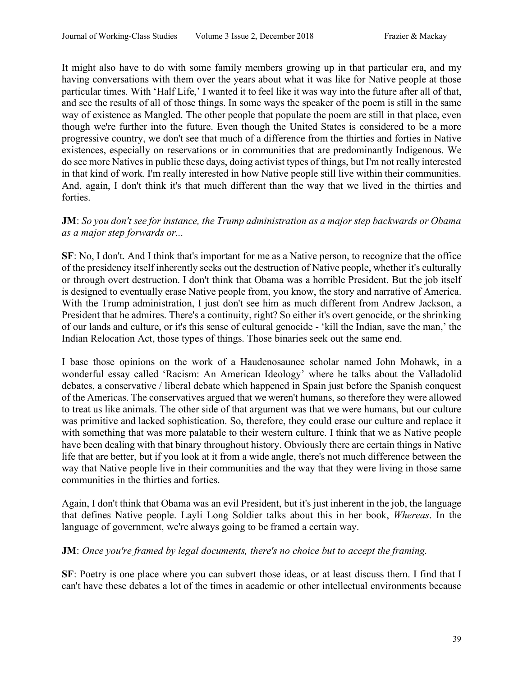It might also have to do with some family members growing up in that particular era, and my having conversations with them over the years about what it was like for Native people at those particular times. With 'Half Life,' I wanted it to feel like it was way into the future after all of that, and see the results of all of those things. In some ways the speaker of the poem is still in the same way of existence as Mangled. The other people that populate the poem are still in that place, even though we're further into the future. Even though the United States is considered to be a more progressive country, we don't see that much of a difference from the thirties and forties in Native existences, especially on reservations or in communities that are predominantly Indigenous. We do see more Natives in public these days, doing activist types of things, but I'm not really interested in that kind of work. I'm really interested in how Native people still live within their communities. And, again, I don't think it's that much different than the way that we lived in the thirties and forties.

## **JM**: *So you don't see for instance, the Trump administration as a major step backwards or Obama as a major step forwards or...*

**SF**: No, I don't. And I think that's important for me as a Native person, to recognize that the office of the presidency itself inherently seeks out the destruction of Native people, whether it's culturally or through overt destruction. I don't think that Obama was a horrible President. But the job itself is designed to eventually erase Native people from, you know, the story and narrative of America. With the Trump administration, I just don't see him as much different from Andrew Jackson, a President that he admires. There's a continuity, right? So either it's overt genocide, or the shrinking of our lands and culture, or it's this sense of cultural genocide - 'kill the Indian, save the man,' the Indian Relocation Act, those types of things. Those binaries seek out the same end.

I base those opinions on the work of a Haudenosaunee scholar named John Mohawk, in a wonderful essay called 'Racism: An American Ideology' where he talks about the Valladolid debates, a conservative / liberal debate which happened in Spain just before the Spanish conquest of the Americas. The conservatives argued that we weren't humans, so therefore they were allowed to treat us like animals. The other side of that argument was that we were humans, but our culture was primitive and lacked sophistication. So, therefore, they could erase our culture and replace it with something that was more palatable to their western culture. I think that we as Native people have been dealing with that binary throughout history. Obviously there are certain things in Native life that are better, but if you look at it from a wide angle, there's not much difference between the way that Native people live in their communities and the way that they were living in those same communities in the thirties and forties.

Again, I don't think that Obama was an evil President, but it's just inherent in the job, the language that defines Native people. Layli Long Soldier talks about this in her book, *Whereas*. In the language of government, we're always going to be framed a certain way.

# **JM**: *Once you're framed by legal documents, there's no choice but to accept the framing.*

**SF**: Poetry is one place where you can subvert those ideas, or at least discuss them. I find that I can't have these debates a lot of the times in academic or other intellectual environments because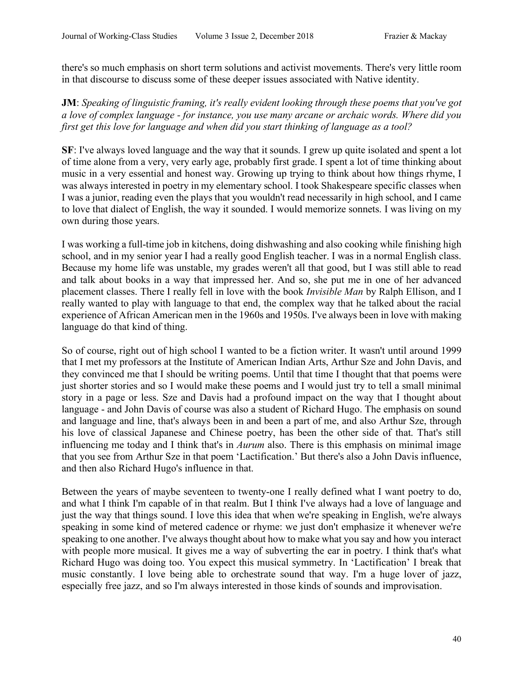there's so much emphasis on short term solutions and activist movements. There's very little room in that discourse to discuss some of these deeper issues associated with Native identity.

**JM**: *Speaking of linguistic framing, it's really evident looking through these poems that you've got a love of complex language - for instance, you use many arcane or archaic words. Where did you first get this love for language and when did you start thinking of language as a tool?*

**SF**: I've always loved language and the way that it sounds. I grew up quite isolated and spent a lot of time alone from a very, very early age, probably first grade. I spent a lot of time thinking about music in a very essential and honest way. Growing up trying to think about how things rhyme, I was always interested in poetry in my elementary school. I took Shakespeare specific classes when I was a junior, reading even the plays that you wouldn't read necessarily in high school, and I came to love that dialect of English, the way it sounded. I would memorize sonnets. I was living on my own during those years.

I was working a full-time job in kitchens, doing dishwashing and also cooking while finishing high school, and in my senior year I had a really good English teacher. I was in a normal English class. Because my home life was unstable, my grades weren't all that good, but I was still able to read and talk about books in a way that impressed her. And so, she put me in one of her advanced placement classes. There I really fell in love with the book *Invisible Man* by Ralph Ellison, and I really wanted to play with language to that end, the complex way that he talked about the racial experience of African American men in the 1960s and 1950s. I've always been in love with making language do that kind of thing.

So of course, right out of high school I wanted to be a fiction writer. It wasn't until around 1999 that I met my professors at the Institute of American Indian Arts, Arthur Sze and John Davis, and they convinced me that I should be writing poems. Until that time I thought that that poems were just shorter stories and so I would make these poems and I would just try to tell a small minimal story in a page or less. Sze and Davis had a profound impact on the way that I thought about language - and John Davis of course was also a student of Richard Hugo. The emphasis on sound and language and line, that's always been in and been a part of me, and also Arthur Sze, through his love of classical Japanese and Chinese poetry, has been the other side of that. That's still influencing me today and I think that's in *Aurum* also. There is this emphasis on minimal image that you see from Arthur Sze in that poem 'Lactification.' But there's also a John Davis influence, and then also Richard Hugo's influence in that.

Between the years of maybe seventeen to twenty-one I really defined what I want poetry to do, and what I think I'm capable of in that realm. But I think I've always had a love of language and just the way that things sound. I love this idea that when we're speaking in English, we're always speaking in some kind of metered cadence or rhyme: we just don't emphasize it whenever we're speaking to one another. I've always thought about how to make what you say and how you interact with people more musical. It gives me a way of subverting the ear in poetry. I think that's what Richard Hugo was doing too. You expect this musical symmetry. In 'Lactification' I break that music constantly. I love being able to orchestrate sound that way. I'm a huge lover of jazz, especially free jazz, and so I'm always interested in those kinds of sounds and improvisation.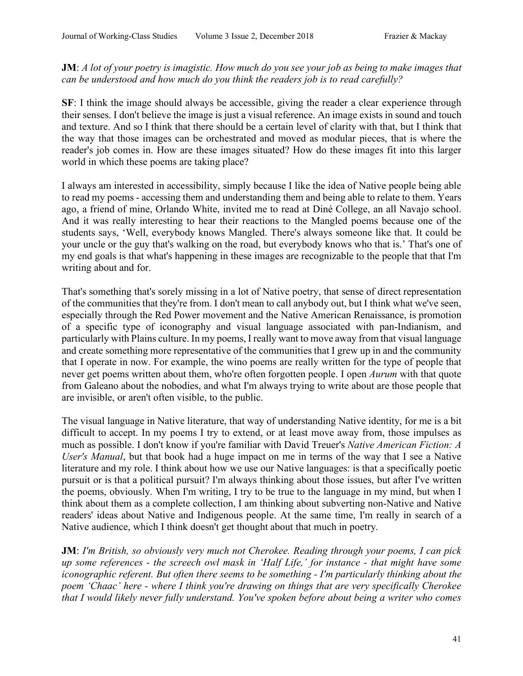## **JM**: *A lot of your poetry is imagistic. How much do you see your job as being to make images that can be understood and how much do you think the readers job is to read carefully?*

**SF**: I think the image should always be accessible, giving the reader a clear experience through their senses. I don't believe the image is just a visual reference. An image exists in sound and touch and texture. And so I think that there should be a certain level of clarity with that, but I think that the way that those images can be orchestrated and moved as modular pieces, that is where the reader's job comes in. How are these images situated? How do these images fit into this larger world in which these poems are taking place?

I always am interested in accessibility, simply because I like the idea of Native people being able to read my poems - accessing them and understanding them and being able to relate to them. Years ago, a friend of mine, Orlando White, invited me to read at Diné College, an all Navajo school. And it was really interesting to hear their reactions to the Mangled poems because one of the students says, 'Well, everybody knows Mangled. There's always someone like that. It could be your uncle or the guy that's walking on the road, but everybody knows who that is.' That's one of my end goals is that what's happening in these images are recognizable to the people that that I'm writing about and for.

That's something that's sorely missing in a lot of Native poetry, that sense of direct representation of the communities that they're from. I don't mean to call anybody out, but I think what we've seen, especially through the Red Power movement and the Native American Renaissance, is promotion of a specific type of iconography and visual language associated with pan-Indianism, and particularly with Plains culture. In my poems, I really want to move away from that visual language and create something more representative of the communities that I grew up in and the community that I operate in now. For example, the wino poems are really written for the type of people that never get poems written about them, who're often forgotten people. I open *Aurum* with that quote from Galeano about the nobodies, and what I'm always trying to write about are those people that are invisible, or aren't often visible, to the public.

The visual language in Native literature, that way of understanding Native identity, for me is a bit difficult to accept. In my poems I try to extend, or at least move away from, those impulses as much as possible. I don't know if you're familiar with David Treuer's *Native American Fiction: A User's Manual*, but that book had a huge impact on me in terms of the way that I see a Native literature and my role. I think about how we use our Native languages: is that a specifically poetic pursuit or is that a political pursuit? I'm always thinking about those issues, but after I've written the poems, obviously. When I'm writing, I try to be true to the language in my mind, but when I think about them as a complete collection, I am thinking about subverting non-Native and Native readers' ideas about Native and Indigenous people. At the same time, I'm really in search of a Native audience, which I think doesn't get thought about that much in poetry.

**JM**: *I'm British, so obviously very much not Cherokee. Reading through your poems, I can pick up some references - the screech owl mask in 'Half Life,' for instance - that might have some iconographic referent. But often there seems to be something - I'm particularly thinking about the poem 'Chaac' here - where I think you're drawing on things that are very specifically Cherokee that I would likely never fully understand. You've spoken before about being a writer who comes*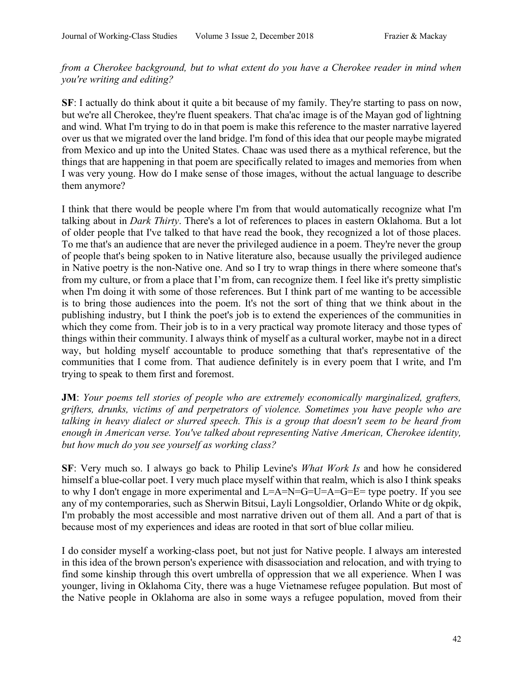*from a Cherokee background, but to what extent do you have a Cherokee reader in mind when you're writing and editing?*

**SF**: I actually do think about it quite a bit because of my family. They're starting to pass on now, but we're all Cherokee, they're fluent speakers. That cha'ac image is of the Mayan god of lightning and wind. What I'm trying to do in that poem is make this reference to the master narrative layered over us that we migrated over the land bridge. I'm fond of this idea that our people maybe migrated from Mexico and up into the United States. Chaac was used there as a mythical reference, but the things that are happening in that poem are specifically related to images and memories from when I was very young. How do I make sense of those images, without the actual language to describe them anymore?

I think that there would be people where I'm from that would automatically recognize what I'm talking about in *Dark Thirty*. There's a lot of references to places in eastern Oklahoma. But a lot of older people that I've talked to that have read the book, they recognized a lot of those places. To me that's an audience that are never the privileged audience in a poem. They're never the group of people that's being spoken to in Native literature also, because usually the privileged audience in Native poetry is the non-Native one. And so I try to wrap things in there where someone that's from my culture, or from a place that I'm from, can recognize them. I feel like it's pretty simplistic when I'm doing it with some of those references. But I think part of me wanting to be accessible is to bring those audiences into the poem. It's not the sort of thing that we think about in the publishing industry, but I think the poet's job is to extend the experiences of the communities in which they come from. Their job is to in a very practical way promote literacy and those types of things within their community. I always think of myself as a cultural worker, maybe not in a direct way, but holding myself accountable to produce something that that's representative of the communities that I come from. That audience definitely is in every poem that I write, and I'm trying to speak to them first and foremost.

**JM**: *Your poems tell stories of people who are extremely economically marginalized, grafters, grifters, drunks, victims of and perpetrators of violence. Sometimes you have people who are talking in heavy dialect or slurred speech. This is a group that doesn't seem to be heard from enough in American verse. You've talked about representing Native American, Cherokee identity, but how much do you see yourself as working class?*

**SF**: Very much so. I always go back to Philip Levine's *What Work Is* and how he considered himself a blue-collar poet. I very much place myself within that realm, which is also I think speaks to why I don't engage in more experimental and L=A=N=G=U=A=G=E= type poetry. If you see any of my contemporaries, such as Sherwin Bitsui, Layli Longsoldier, Orlando White or dg okpik, I'm probably the most accessible and most narrative driven out of them all. And a part of that is because most of my experiences and ideas are rooted in that sort of blue collar milieu.

I do consider myself a working-class poet, but not just for Native people. I always am interested in this idea of the brown person's experience with disassociation and relocation, and with trying to find some kinship through this overt umbrella of oppression that we all experience. When I was younger, living in Oklahoma City, there was a huge Vietnamese refugee population. But most of the Native people in Oklahoma are also in some ways a refugee population, moved from their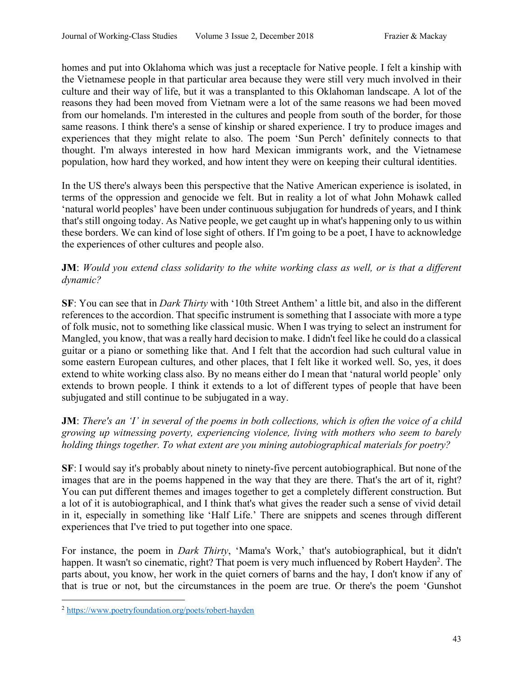homes and put into Oklahoma which was just a receptacle for Native people. I felt a kinship with the Vietnamese people in that particular area because they were still very much involved in their culture and their way of life, but it was a transplanted to this Oklahoman landscape. A lot of the reasons they had been moved from Vietnam were a lot of the same reasons we had been moved from our homelands. I'm interested in the cultures and people from south of the border, for those same reasons. I think there's a sense of kinship or shared experience. I try to produce images and experiences that they might relate to also. The poem 'Sun Perch' definitely connects to that thought. I'm always interested in how hard Mexican immigrants work, and the Vietnamese population, how hard they worked, and how intent they were on keeping their cultural identities.

In the US there's always been this perspective that the Native American experience is isolated, in terms of the oppression and genocide we felt. But in reality a lot of what John Mohawk called 'natural world peoples' have been under continuous subjugation for hundreds of years, and I think that's still ongoing today. As Native people, we get caught up in what's happening only to us within these borders. We can kind of lose sight of others. If I'm going to be a poet, I have to acknowledge the experiences of other cultures and people also.

## **JM**: *Would you extend class solidarity to the white working class as well, or is that a different dynamic?*

**SF**: You can see that in *Dark Thirty* with '10th Street Anthem' a little bit, and also in the different references to the accordion. That specific instrument is something that I associate with more a type of folk music, not to something like classical music. When I was trying to select an instrument for Mangled, you know, that was a really hard decision to make. I didn't feel like he could do a classical guitar or a piano or something like that. And I felt that the accordion had such cultural value in some eastern European cultures, and other places, that I felt like it worked well. So, yes, it does extend to white working class also. By no means either do I mean that 'natural world people' only extends to brown people. I think it extends to a lot of different types of people that have been subjugated and still continue to be subjugated in a way.

# **JM**: *There's an 'I' in several of the poems in both collections, which is often the voice of a child growing up witnessing poverty, experiencing violence, living with mothers who seem to barely holding things together. To what extent are you mining autobiographical materials for poetry?*

**SF**: I would say it's probably about ninety to ninety-five percent autobiographical. But none of the images that are in the poems happened in the way that they are there. That's the art of it, right? You can put different themes and images together to get a completely different construction. But a lot of it is autobiographical, and I think that's what gives the reader such a sense of vivid detail in it, especially in something like 'Half Life.' There are snippets and scenes through different experiences that I've tried to put together into one space.

For instance, the poem in *Dark Thirty*, 'Mama's Work,' that's autobiographical, but it didn't happen. It wasn't so cinematic, right? That poem is very much influenced by Robert Hayden<sup>2</sup>. The parts about, you know, her work in the quiet corners of barns and the hay, I don't know if any of that is true or not, but the circumstances in the poem are true. Or there's the poem 'Gunshot

 <sup>2</sup> https://www.poetryfoundation.org/poets/robert-hayden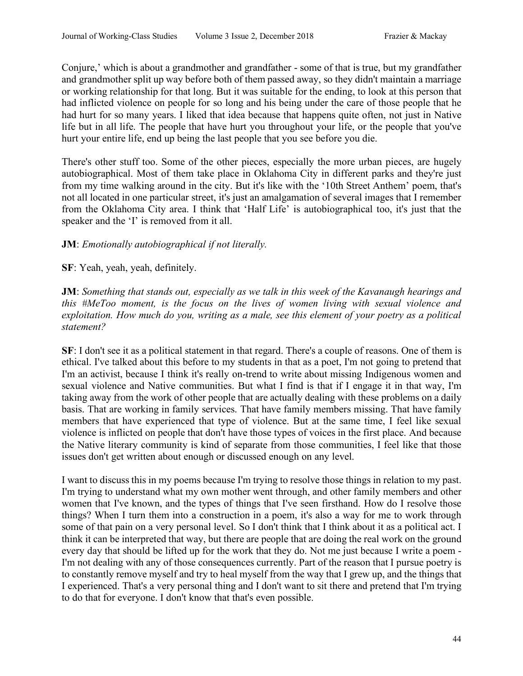Conjure,' which is about a grandmother and grandfather - some of that is true, but my grandfather and grandmother split up way before both of them passed away, so they didn't maintain a marriage or working relationship for that long. But it was suitable for the ending, to look at this person that had inflicted violence on people for so long and his being under the care of those people that he had hurt for so many years. I liked that idea because that happens quite often, not just in Native life but in all life. The people that have hurt you throughout your life, or the people that you've hurt your entire life, end up being the last people that you see before you die.

There's other stuff too. Some of the other pieces, especially the more urban pieces, are hugely autobiographical. Most of them take place in Oklahoma City in different parks and they're just from my time walking around in the city. But it's like with the '10th Street Anthem' poem, that's not all located in one particular street, it's just an amalgamation of several images that I remember from the Oklahoma City area. I think that 'Half Life' is autobiographical too, it's just that the speaker and the 'I' is removed from it all.

## **JM**: *Emotionally autobiographical if not literally.*

#### **SF**: Yeah, yeah, yeah, definitely.

**JM**: *Something that stands out, especially as we talk in this week of the Kavanaugh hearings and this #MeToo moment, is the focus on the lives of women living with sexual violence and exploitation. How much do you, writing as a male, see this element of your poetry as a political statement?*

**SF**: I don't see it as a political statement in that regard. There's a couple of reasons. One of them is ethical. I've talked about this before to my students in that as a poet, I'm not going to pretend that I'm an activist, because I think it's really on-trend to write about missing Indigenous women and sexual violence and Native communities. But what I find is that if I engage it in that way, I'm taking away from the work of other people that are actually dealing with these problems on a daily basis. That are working in family services. That have family members missing. That have family members that have experienced that type of violence. But at the same time, I feel like sexual violence is inflicted on people that don't have those types of voices in the first place. And because the Native literary community is kind of separate from those communities, I feel like that those issues don't get written about enough or discussed enough on any level.

I want to discuss this in my poems because I'm trying to resolve those things in relation to my past. I'm trying to understand what my own mother went through, and other family members and other women that I've known, and the types of things that I've seen firsthand. How do I resolve those things? When I turn them into a construction in a poem, it's also a way for me to work through some of that pain on a very personal level. So I don't think that I think about it as a political act. I think it can be interpreted that way, but there are people that are doing the real work on the ground every day that should be lifted up for the work that they do. Not me just because I write a poem - I'm not dealing with any of those consequences currently. Part of the reason that I pursue poetry is to constantly remove myself and try to heal myself from the way that I grew up, and the things that I experienced. That's a very personal thing and I don't want to sit there and pretend that I'm trying to do that for everyone. I don't know that that's even possible.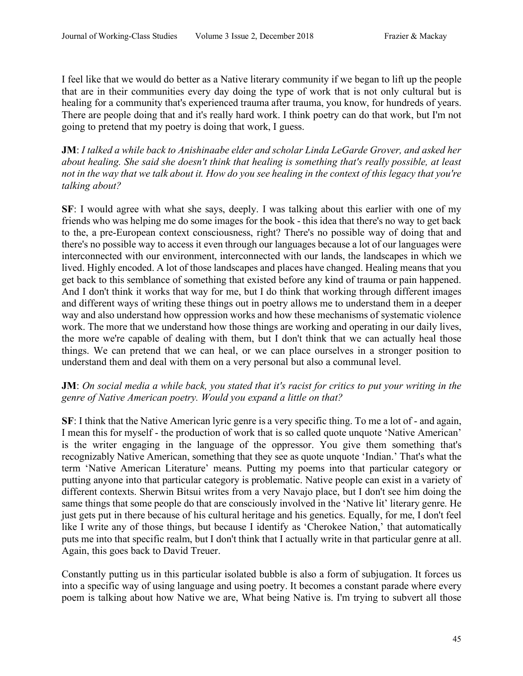I feel like that we would do better as a Native literary community if we began to lift up the people that are in their communities every day doing the type of work that is not only cultural but is healing for a community that's experienced trauma after trauma, you know, for hundreds of years. There are people doing that and it's really hard work. I think poetry can do that work, but I'm not going to pretend that my poetry is doing that work, I guess.

**JM**: *I talked a while back to Anishinaabe elder and scholar Linda LeGarde Grover, and asked her about healing. She said she doesn't think that healing is something that's really possible, at least not in the way that we talk about it. How do you see healing in the context of this legacy that you're talking about?*

**SF**: I would agree with what she says, deeply. I was talking about this earlier with one of my friends who was helping me do some images for the book - this idea that there's no way to get back to the, a pre-European context consciousness, right? There's no possible way of doing that and there's no possible way to access it even through our languages because a lot of our languages were interconnected with our environment, interconnected with our lands, the landscapes in which we lived. Highly encoded. A lot of those landscapes and places have changed. Healing means that you get back to this semblance of something that existed before any kind of trauma or pain happened. And I don't think it works that way for me, but I do think that working through different images and different ways of writing these things out in poetry allows me to understand them in a deeper way and also understand how oppression works and how these mechanisms of systematic violence work. The more that we understand how those things are working and operating in our daily lives, the more we're capable of dealing with them, but I don't think that we can actually heal those things. We can pretend that we can heal, or we can place ourselves in a stronger position to understand them and deal with them on a very personal but also a communal level.

## **JM**: *On social media a while back, you stated that it's racist for critics to put your writing in the genre of Native American poetry. Would you expand a little on that?*

**SF**: I think that the Native American lyric genre is a very specific thing. To me a lot of - and again, I mean this for myself - the production of work that is so called quote unquote 'Native American' is the writer engaging in the language of the oppressor. You give them something that's recognizably Native American, something that they see as quote unquote 'Indian.' That's what the term 'Native American Literature' means. Putting my poems into that particular category or putting anyone into that particular category is problematic. Native people can exist in a variety of different contexts. Sherwin Bitsui writes from a very Navajo place, but I don't see him doing the same things that some people do that are consciously involved in the 'Native lit' literary genre. He just gets put in there because of his cultural heritage and his genetics. Equally, for me, I don't feel like I write any of those things, but because I identify as 'Cherokee Nation,' that automatically puts me into that specific realm, but I don't think that I actually write in that particular genre at all. Again, this goes back to David Treuer.

Constantly putting us in this particular isolated bubble is also a form of subjugation. It forces us into a specific way of using language and using poetry. It becomes a constant parade where every poem is talking about how Native we are, What being Native is. I'm trying to subvert all those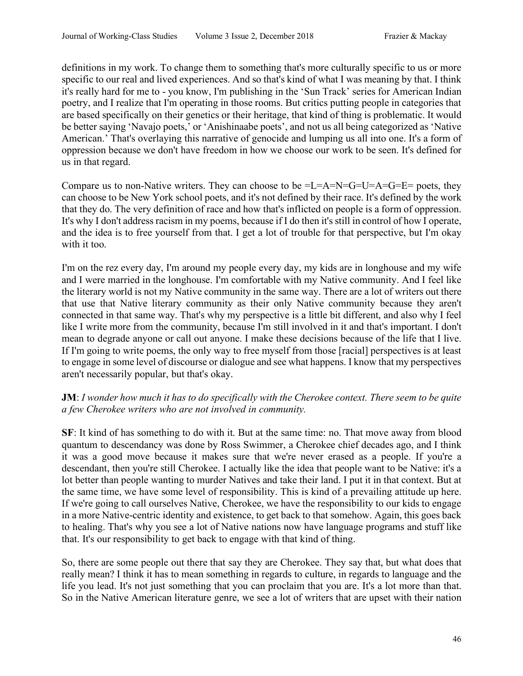definitions in my work. To change them to something that's more culturally specific to us or more specific to our real and lived experiences. And so that's kind of what I was meaning by that. I think it's really hard for me to - you know, I'm publishing in the 'Sun Track' series for American Indian poetry, and I realize that I'm operating in those rooms. But critics putting people in categories that are based specifically on their genetics or their heritage, that kind of thing is problematic. It would be better saying 'Navajo poets,' or 'Anishinaabe poets', and not us all being categorized as 'Native American.' That's overlaying this narrative of genocide and lumping us all into one. It's a form of oppression because we don't have freedom in how we choose our work to be seen. It's defined for us in that regard.

Compare us to non-Native writers. They can choose to be  $=L=A=N=G=U=A=G=E=$  poets, they can choose to be New York school poets, and it's not defined by their race. It's defined by the work that they do. The very definition of race and how that's inflicted on people is a form of oppression. It's why I don't address racism in my poems, because if I do then it's still in control of how I operate, and the idea is to free yourself from that. I get a lot of trouble for that perspective, but I'm okay with it too.

I'm on the rez every day, I'm around my people every day, my kids are in longhouse and my wife and I were married in the longhouse. I'm comfortable with my Native community. And I feel like the literary world is not my Native community in the same way. There are a lot of writers out there that use that Native literary community as their only Native community because they aren't connected in that same way. That's why my perspective is a little bit different, and also why I feel like I write more from the community, because I'm still involved in it and that's important. I don't mean to degrade anyone or call out anyone. I make these decisions because of the life that I live. If I'm going to write poems, the only way to free myself from those [racial] perspectives is at least to engage in some level of discourse or dialogue and see what happens. I know that my perspectives aren't necessarily popular, but that's okay.

## **JM**: *I wonder how much it has to do specifically with the Cherokee context. There seem to be quite a few Cherokee writers who are not involved in community.*

**SF**: It kind of has something to do with it. But at the same time: no. That move away from blood quantum to descendancy was done by Ross Swimmer, a Cherokee chief decades ago, and I think it was a good move because it makes sure that we're never erased as a people. If you're a descendant, then you're still Cherokee. I actually like the idea that people want to be Native: it's a lot better than people wanting to murder Natives and take their land. I put it in that context. But at the same time, we have some level of responsibility. This is kind of a prevailing attitude up here. If we're going to call ourselves Native, Cherokee, we have the responsibility to our kids to engage in a more Native-centric identity and existence, to get back to that somehow. Again, this goes back to healing. That's why you see a lot of Native nations now have language programs and stuff like that. It's our responsibility to get back to engage with that kind of thing.

So, there are some people out there that say they are Cherokee. They say that, but what does that really mean? I think it has to mean something in regards to culture, in regards to language and the life you lead. It's not just something that you can proclaim that you are. It's a lot more than that. So in the Native American literature genre, we see a lot of writers that are upset with their nation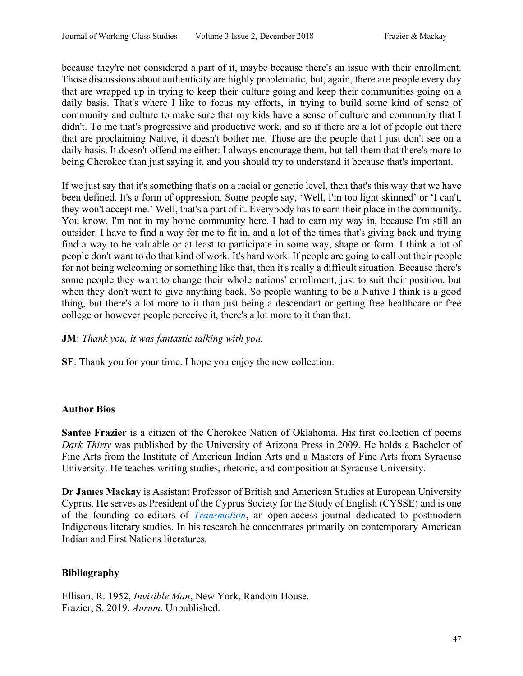because they're not considered a part of it, maybe because there's an issue with their enrollment. Those discussions about authenticity are highly problematic, but, again, there are people every day that are wrapped up in trying to keep their culture going and keep their communities going on a daily basis. That's where I like to focus my efforts, in trying to build some kind of sense of community and culture to make sure that my kids have a sense of culture and community that I didn't. To me that's progressive and productive work, and so if there are a lot of people out there that are proclaiming Native, it doesn't bother me. Those are the people that I just don't see on a daily basis. It doesn't offend me either: I always encourage them, but tell them that there's more to being Cherokee than just saying it, and you should try to understand it because that's important.

If we just say that it's something that's on a racial or genetic level, then that's this way that we have been defined. It's a form of oppression. Some people say, 'Well, I'm too light skinned' or 'I can't, they won't accept me.' Well, that's a part of it. Everybody has to earn their place in the community. You know, I'm not in my home community here. I had to earn my way in, because I'm still an outsider. I have to find a way for me to fit in, and a lot of the times that's giving back and trying find a way to be valuable or at least to participate in some way, shape or form. I think a lot of people don't want to do that kind of work. It's hard work. If people are going to call out their people for not being welcoming or something like that, then it's really a difficult situation. Because there's some people they want to change their whole nations' enrollment, just to suit their position, but when they don't want to give anything back. So people wanting to be a Native I think is a good thing, but there's a lot more to it than just being a descendant or getting free healthcare or free college or however people perceive it, there's a lot more to it than that.

#### **JM**: *Thank you, it was fantastic talking with you.*

**SF**: Thank you for your time. I hope you enjoy the new collection.

# **Author Bios**

**Santee Frazier** is a citizen of the Cherokee Nation of Oklahoma. His first collection of poems *Dark Thirty* was published by the University of Arizona Press in 2009. He holds a Bachelor of Fine Arts from the Institute of American Indian Arts and a Masters of Fine Arts from Syracuse University. He teaches writing studies, rhetoric, and composition at Syracuse University.

**Dr James Mackay** is Assistant Professor of British and American Studies at European University Cyprus. He serves as President of the Cyprus Society for the Study of English (CYSSE) and is one of the founding co-editors of *Transmotion*, an open-access journal dedicated to postmodern Indigenous literary studies. In his research he concentrates primarily on contemporary American Indian and First Nations literatures.

# **Bibliography**

Ellison, R. 1952, *Invisible Man*, New York, Random House. Frazier, S. 2019, *Aurum*, Unpublished.